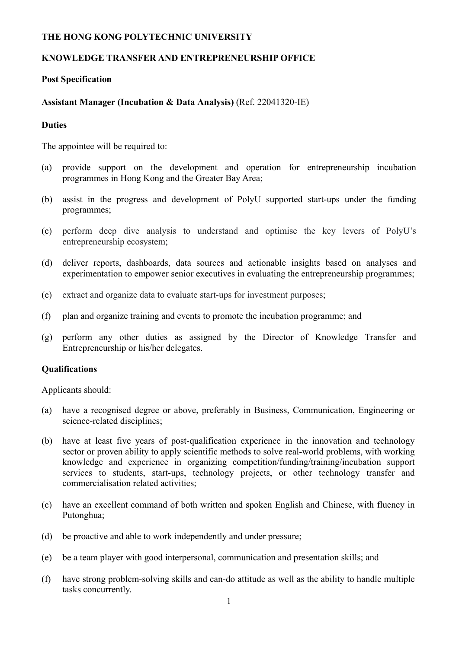# **THE HONG KONG POLYTECHNIC UNIVERSITY**

# **KNOWLEDGE TRANSFER AND ENTREPRENEURSHIP OFFICE**

### **Post Specification**

## **Assistant Manager (Incubation & Data Analysis)** (Ref. 22041320-IE)

#### **Duties**

The appointee will be required to:

- (a) provide support on the development and operation for entrepreneurship incubation programmes in Hong Kong and the Greater Bay Area;
- (b) assist in the progress and development of PolyU supported start-ups under the funding programmes;
- (c) perform deep dive analysis to understand and optimise the key levers of PolyU's entrepreneurship ecosystem;
- (d) deliver reports, dashboards, data sources and actionable insights based on analyses and experimentation to empower senior executives in evaluating the entrepreneurship programmes;
- (e) extract and organize data to evaluate start-ups for investment purposes;
- (f) plan and organize training and events to promote the incubation programme; and
- (g) perform any other duties as assigned by the Director of Knowledge Transfer and Entrepreneurship or his/her delegates.

#### **Qualifications**

Applicants should:

- (a) have a recognised degree or above, preferably in Business, Communication, Engineering or science-related disciplines;
- (b) have at least five years of post-qualification experience in the innovation and technology sector or proven ability to apply scientific methods to solve real-world problems, with working knowledge and experience in organizing competition/funding/training/incubation support services to students, start-ups, technology projects, or other technology transfer and commercialisation related activities;
- (c) have an excellent command of both written and spoken English and Chinese, with fluency in Putonghua;
- (d) be proactive and able to work independently and under pressure;
- (e) be a team player with good interpersonal, communication and presentation skills; and
- (f) have strong problem-solving skills and can-do attitude as well as the ability to handle multiple tasks concurrently.